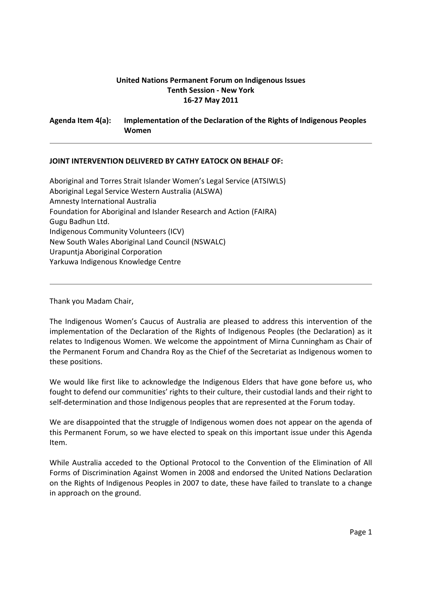# **United Nations Permanent Forum on Indigenous Issues Tenth Session ‐ New York 16‐27 May 2011**

**Agenda Item 4(a): Implementation of the Declaration of the Rights of Indigenous Peoples Women** 

## **JOINT INTERVENTION DELIVERED BY CATHY EATOCK ON BEHALF OF:**

Aboriginal and Torres Strait Islander Women's Legal Service (ATSIWLS) Aboriginal Legal Service Western Australia (ALSWA) Amnesty International Australia Foundation for Aboriginal and Islander Research and Action (FAIRA) Gugu Badhun Ltd. Indigenous Community Volunteers (ICV) New South Wales Aboriginal Land Council (NSWALC) Urapuntja Aboriginal Corporation Yarkuwa Indigenous Knowledge Centre

Thank you Madam Chair,

The Indigenous Women's Caucus of Australia are pleased to address this intervention of the implementation of the Declaration of the Rights of Indigenous Peoples (the Declaration) as it relates to Indigenous Women. We welcome the appointment of Mirna Cunningham as Chair of the Permanent Forum and Chandra Roy as the Chief of the Secretariat as Indigenous women to these positions.

We would like first like to acknowledge the Indigenous Elders that have gone before us, who fought to defend our communities' rights to their culture, their custodial lands and their right to self-determination and those Indigenous peoples that are represented at the Forum today.

We are disappointed that the struggle of Indigenous women does not appear on the agenda of this Permanent Forum, so we have elected to speak on this important issue under this Agenda Item.

While Australia acceded to the Optional Protocol to the Convention of the Elimination of All Forms of Discrimination Against Women in 2008 and endorsed the United Nations Declaration on the Rights of Indigenous Peoples in 2007 to date, these have failed to translate to a change in approach on the ground.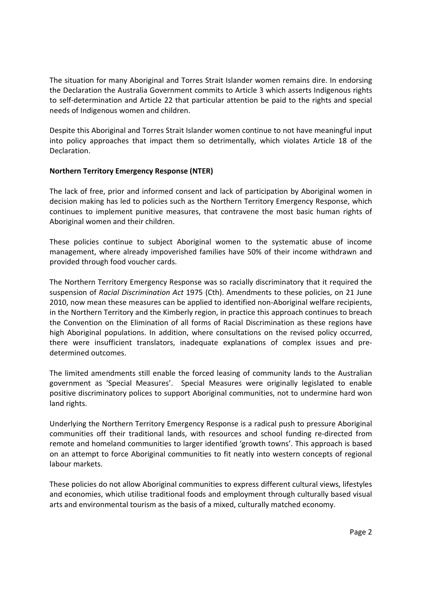The situation for many Aboriginal and Torres Strait Islander women remains dire. In endorsing the Declaration the Australia Government commits to Article 3 which asserts Indigenous rights to self‐determination and Article 22 that particular attention be paid to the rights and special needs of Indigenous women and children.

Despite this Aboriginal and Torres Strait Islander women continue to not have meaningful input into policy approaches that impact them so detrimentally, which violates Article 18 of the Declaration.

# **Northern Territory Emergency Response (NTER)**

The lack of free, prior and informed consent and lack of participation by Aboriginal women in decision making has led to policies such as the Northern Territory Emergency Response, which continues to implement punitive measures, that contravene the most basic human rights of Aboriginal women and their children.

These policies continue to subject Aboriginal women to the systematic abuse of income management, where already impoverished families have 50% of their income withdrawn and provided through food voucher cards.

The Northern Territory Emergency Response was so racially discriminatory that it required the suspension of *Racial Discrimination Act* 1975 (Cth). Amendments to these policies, on 21 June 2010, now mean these measures can be applied to identified non‐Aboriginal welfare recipients, in the Northern Territory and the Kimberly region, in practice this approach continues to breach the Convention on the Elimination of all forms of Racial Discrimination as these regions have high Aboriginal populations. In addition, where consultations on the revised policy occurred, there were insufficient translators, inadequate explanations of complex issues and pre‐ determined outcomes.

The limited amendments still enable the forced leasing of community lands to the Australian government as 'Special Measures'. Special Measures were originally legislated to enable positive discriminatory polices to support Aboriginal communities, not to undermine hard won land rights.

Underlying the Northern Territory Emergency Response is a radical push to pressure Aboriginal communities off their traditional lands, with resources and school funding re‐directed from remote and homeland communities to larger identified 'growth towns'. This approach is based on an attempt to force Aboriginal communities to fit neatly into western concepts of regional labour markets.

These policies do not allow Aboriginal communities to express different cultural views, lifestyles and economies, which utilise traditional foods and employment through culturally based visual arts and environmental tourism as the basis of a mixed, culturally matched economy.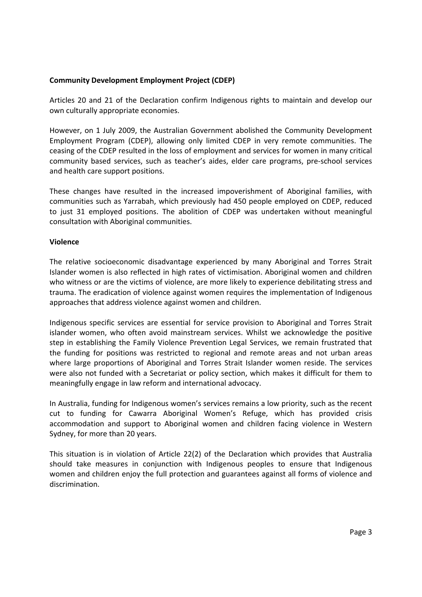## **Community Development Employment Project (CDEP)**

Articles 20 and 21 of the Declaration confirm Indigenous rights to maintain and develop our own culturally appropriate economies.

However, on 1 July 2009, the Australian Government abolished the Community Development Employment Program (CDEP), allowing only limited CDEP in very remote communities. The ceasing of the CDEP resulted in the loss of employment and services for women in many critical community based services, such as teacher's aides, elder care programs, pre‐school services and health care support positions.

These changes have resulted in the increased impoverishment of Aboriginal families, with communities such as Yarrabah, which previously had 450 people employed on CDEP, reduced to just 31 employed positions. The abolition of CDEP was undertaken without meaningful consultation with Aboriginal communities.

### **Violence**

The relative socioeconomic disadvantage experienced by many Aboriginal and Torres Strait Islander women is also reflected in high rates of victimisation. Aboriginal women and children who witness or are the victims of violence, are more likely to experience debilitating stress and trauma. The eradication of violence against women requires the implementation of Indigenous approaches that address violence against women and children.

Indigenous specific services are essential for service provision to Aboriginal and Torres Strait islander women, who often avoid mainstream services. Whilst we acknowledge the positive step in establishing the Family Violence Prevention Legal Services, we remain frustrated that the funding for positions was restricted to regional and remote areas and not urban areas where large proportions of Aboriginal and Torres Strait Islander women reside. The services were also not funded with a Secretariat or policy section, which makes it difficult for them to meaningfully engage in law reform and international advocacy.

In Australia, funding for Indigenous women's services remains a low priority, such as the recent cut to funding for Cawarra Aboriginal Women's Refuge, which has provided crisis accommodation and support to Aboriginal women and children facing violence in Western Sydney, for more than 20 years.

This situation is in violation of Article 22(2) of the Declaration which provides that Australia should take measures in conjunction with Indigenous peoples to ensure that Indigenous women and children enjoy the full protection and guarantees against all forms of violence and discrimination.